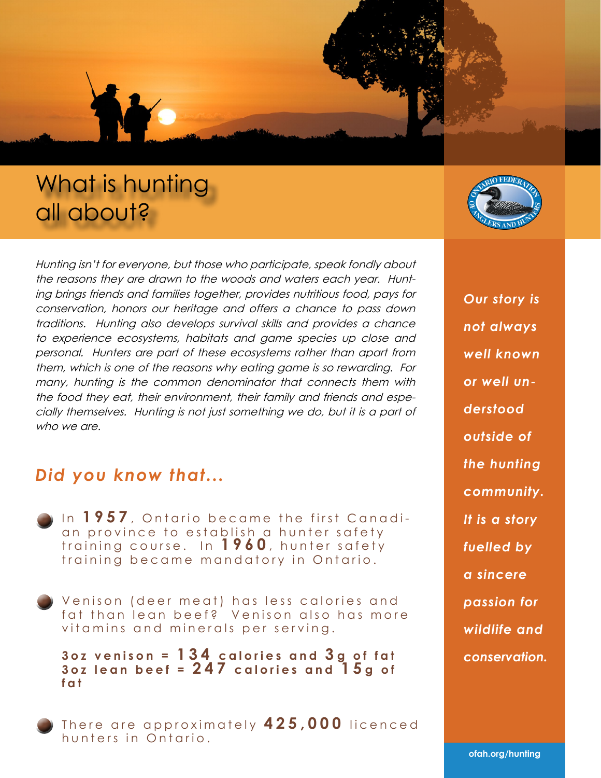# What is hunting all about?

Hunting isn't for everyone, but those who participate, speak fondly about the reasons they are drawn to the woods and waters each year. Hunting brings friends and families together, provides nutritious food, pays for conservation, honors our heritage and offers a chance to pass down traditions. Hunting also develops survival skills and provides a chance to experience ecosystems, habitats and game species up close and personal. Hunters are part of these ecosystems rather than apart from them, which is one of the reasons why eating game is so rewarding. For many, hunting is the common denominator that connects them with the food they eat, their environment, their family and friends and especially themselves. Hunting is not just something we do, but it is a part of who we are.

#### *Did you know that...*

- In 1957, Ontario became the first Canadian province to establish a hunter safety training course. In **1960**, hunter safety training became mandatory in Ontario.
- Venison (deer meat) has less calories and fat than lean beef? Venison also has more vitamins and minerals per serving.

**3oz venison = 134 calories and 3 g of fat**  $3$ oz lean beef =  $247$  calories and  $15g$  of **fat**

There are approximately **425,000** licenced hunters in Ontario.



*Our story is not always well known or well understood outside of the hunting community. It is a story fuelled by a sincere passion for wildlife and conservation.*